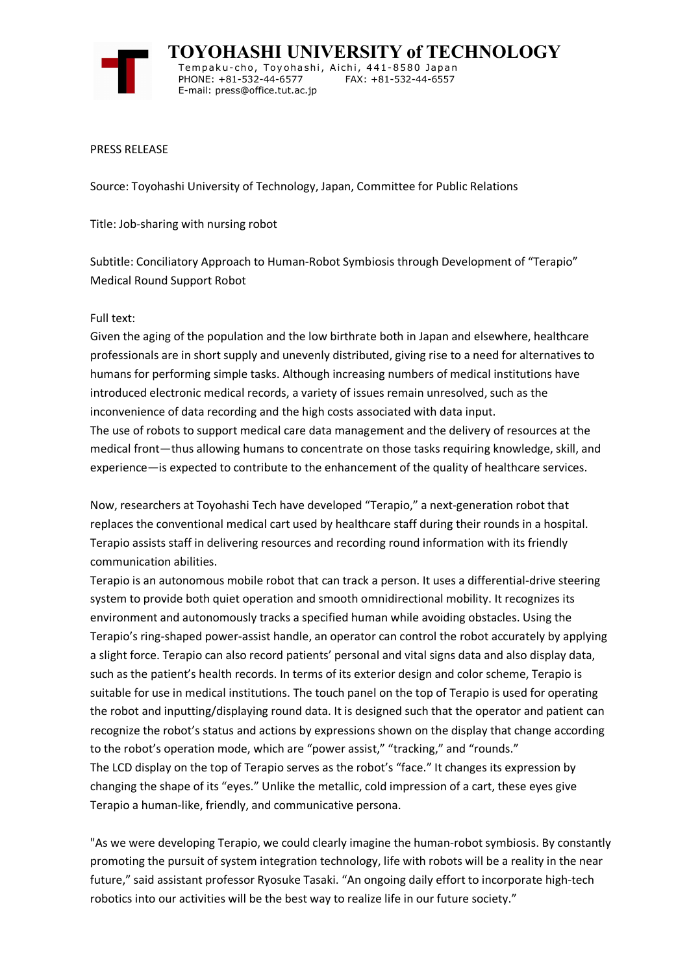

**TOYOHASHI UNIVERSITY of TECHNOLOGY** Tempaku-cho, Toyohashi, Aichi, 441-8580 Japan<br>PHONE: +81-532-44-6577 FAX: +81-532-44-6557 PHONE: +81-532-44-6577 E-mail: press@office.tut.ac.jp

PRESS RELEASE

Source: Toyohashi University of Technology, Japan, Committee for Public Relations

Title: Job-sharing with nursing robot

Subtitle: Conciliatory Approach to Human-Robot Symbiosis through Development of "Terapio" Medical Round Support Robot

## Full text:

Given the aging of the population and the low birthrate both in Japan and elsewhere, healthcare professionals are in short supply and unevenly distributed, giving rise to a need for alternatives to humans for performing simple tasks. Although increasing numbers of medical institutions have introduced electronic medical records, a variety of issues remain unresolved, such as the inconvenience of data recording and the high costs associated with data input. The use of robots to support medical care data management and the delivery of resources at the medical front—thus allowing humans to concentrate on those tasks requiring knowledge, skill, and experience—is expected to contribute to the enhancement of the quality of healthcare services.

Now, researchers at Toyohashi Tech have developed "Terapio," a next-generation robot that replaces the conventional medical cart used by healthcare staff during their rounds in a hospital. Terapio assists staff in delivering resources and recording round information with its friendly communication abilities.

Terapio is an autonomous mobile robot that can track a person. It uses a differential-drive steering system to provide both quiet operation and smooth omnidirectional mobility. It recognizes its environment and autonomously tracks a specified human while avoiding obstacles. Using the Terapio's ring-shaped power-assist handle, an operator can control the robot accurately by applying a slight force. Terapio can also record patients' personal and vital signs data and also display data, such as the patient's health records. In terms of its exterior design and color scheme, Terapio is suitable for use in medical institutions. The touch panel on the top of Terapio is used for operating the robot and inputting/displaying round data. It is designed such that the operator and patient can recognize the robot's status and actions by expressions shown on the display that change according to the robot's operation mode, which are "power assist," "tracking," and "rounds." The LCD display on the top of Terapio serves as the robot's "face." It changes its expression by changing the shape of its "eyes." Unlike the metallic, cold impression of a cart, these eyes give Terapio a human-like, friendly, and communicative persona.

"As we were developing Terapio, we could clearly imagine the human-robot symbiosis. By constantly promoting the pursuit of system integration technology, life with robots will be a reality in the near future," said assistant professor Ryosuke Tasaki. "An ongoing daily effort to incorporate high-tech robotics into our activities will be the best way to realize life in our future society."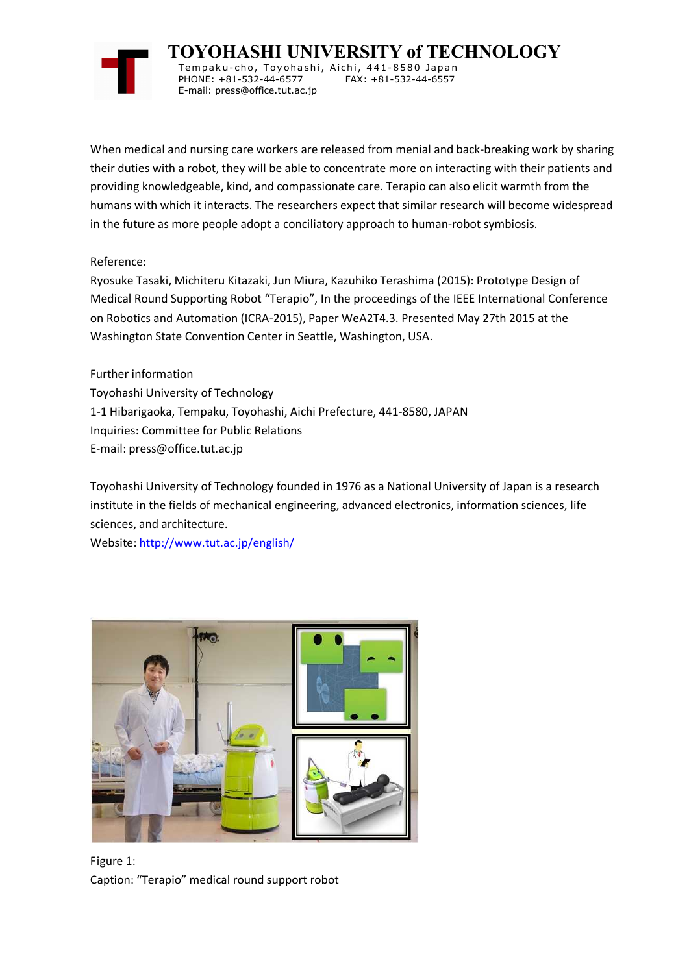

**TOYOHASHI UNIVERSITY of TECHNOLOGY** Tempak u-cho, Toy oha shi, Aichi, 441-8580 Japan PHONE: +81-532-44-6577

When medical and nursing care workers are released from menial and back-breaking work by sharing their duties with a robot, they will be able to concentrate more on interacting with their patients and providing knowledgeable, kind, and compassionate care. Terapio can also elicit warmth from the humans with which it interacts. The researchers expect that similar research will become widespread in the future as more people adopt a conciliatory approach to human-robot symbiosis.

## Reference:

Ryosuke Tasaki, Michiteru Kitazaki, Jun Miura, Kazuhiko Terashima (2015): Prototype Design of Medical Round Supporting Robot "Terapio", In the proceedings of the IEEE International Conference on Robotics and Automation (ICRA-2015), Paper WeA2T4.3. Presented May 27th 2015 at the Washington State Convention Center in Seattle, Washington, USA.

Further information Toyohashi University of Technology 1-1 Hibarigaoka, Tempaku, Toyohashi, Aichi Prefecture, 441-8580, JAPAN Inquiries: Committee for Public Relations E-mail: press@office.tut.ac.jp

E-mail: press@office.tut.ac.jp

Toyohashi University of Technology founded in 1976 as a National University of Japan is a research institute in the fields of mechanical engineering, advanced electronics, information sciences, life sciences, and architecture.

Website: http://www.tut.ac.jp/english/



Figure 1: Caption: "Terapio" medical round support robot